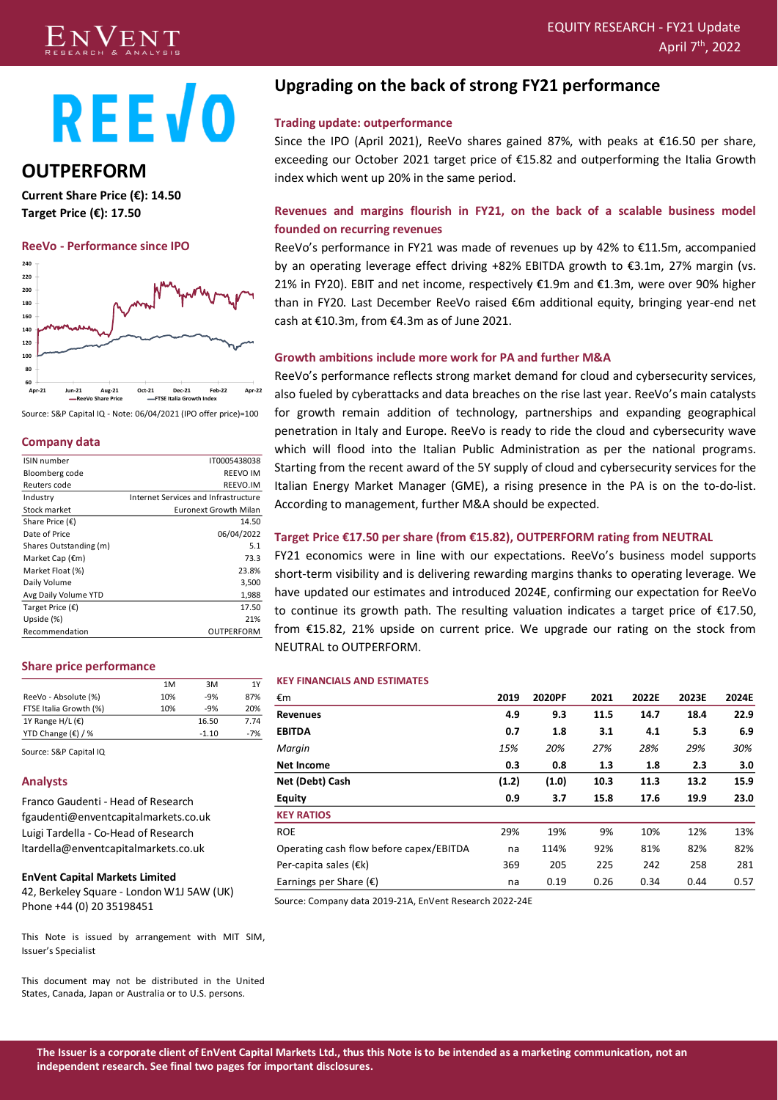#### $\rm{V}$   $\rm{E}$   $\rm{N}$   $\rm{T}$  and the contract of the contract of the contract of the contract of the contract of the contract of the contract of the contract of the contract of the contract of the contract of the contra RESEARCH & ANALYSIS CONTROL CONTROL CONTROL CONTROL CONTROL CONTROL CONTROL CONTROL CONTROL CONTROL CONTROL CO<br>RESEARCH & ANALYSIS  $\,^{\rm th}$ , 2022  $\,$



# **REEVO**

# **OUTPERFORM**

**Current Share Price (€): 14.50 Target Price (€): 17.50**

#### **ReeVo - Performance since IPO**



Source: S&P Capital IQ - Note: 06/04/2021 (IPO offer price)=100

## **Company data**

| ISIN number               | IT0005438038                         |
|---------------------------|--------------------------------------|
| Bloomberg code            | <b>REEVO IM</b>                      |
| Reuters code              | REEVO.IM                             |
| Industry                  | Internet Services and Infrastructure |
| Stock market              | <b>Euronext Growth Milan</b>         |
| Share Price $(\epsilon)$  | 14.50                                |
| Date of Price             | 06/04/2022                           |
| Shares Outstanding (m)    | 5.1                                  |
| Market Cap $(\epsilon m)$ | 73.3                                 |
| Market Float (%)          | 23.8%                                |
| Daily Volume              | 3,500                                |
| Avg Daily Volume YTD      | 1,988                                |
| Target Price $(\epsilon)$ | 17.50                                |
| Upside (%)                | 21%                                  |
| Recommendation            | OUTPERFORM                           |

## **Share price performance**

|                             | 1M  | 3M      | 1Y    |
|-----------------------------|-----|---------|-------|
| ReeVo - Absolute (%)        | 10% | $-9%$   | 87%   |
| FTSE Italia Growth (%)      | 10% | $-9%$   | 20%   |
| 1Y Range H/L $(E)$          |     | 16.50   | 7.74  |
| YTD Change $(\epsilon)$ / % |     | $-1.10$ | $-7%$ |
|                             |     |         |       |

Source: S&P Capital IQ

## **Analysts**

Franco Gaudenti - Head of Research fgaudenti@enventcapitalmarkets.co.uk Luigi Tardella - Co-Head of Research ltardella@enventcapitalmarkets.co.uk

#### **EnVent Capital Markets Limited**

42, Berkeley Square - London W1J 5AW (UK) Phone +44 (0) 20 35198451

This Note is issued by arrangement with MIT SIM, Issuer's Specialist

This document may not be distributed in the United States, Canada, Japan or Australia or to U.S. persons.

# **Upgrading on the back of strong FY21 performance**

## **Trading update: outperformance**

Since the IPO (April 2021), ReeVo shares gained 87%, with peaks at €16.50 per share, exceeding our October 2021 target price of €15.82 and outperforming the Italia Growth index which went up 20% in the same period.

## **Revenues and margins flourish in FY21, on the back of a scalable business model founded on recurring revenues**

ReeVo's performance in FY21 was made of revenues up by 42% to €11.5m, accompanied by an operating leverage effect driving +82% EBITDA growth to €3.1m, 27% margin (vs. 21% in FY20). EBIT and net income, respectively €1.9m and €1.3m, were over 90% higher than in FY20. Last December ReeVo raised €6m additional equity, bringing year-end net cash at €10.3m, from €4.3m as of June 2021.

## **Growth ambitions include more work for PA and further M&A**

ReeVo's performance reflects strong market demand for cloud and cybersecurity services, also fueled by cyberattacks and data breaches on the rise last year. ReeVo's main catalysts for growth remain addition of technology, partnerships and expanding geographical penetration in Italy and Europe. ReeVo is ready to ride the cloud and cybersecurity wave which will flood into the Italian Public Administration as per the national programs. Starting from the recent award of the 5Y supply of cloud and cybersecurity services for the Italian Energy Market Manager (GME), a rising presence in the PA is on the to-do-list. According to management, further M&A should be expected.

## **Target Price €17.50 per share (from €15.82), OUTPERFORM rating from NEUTRAL**

FY21 economics were in line with our expectations. ReeVo's business model supports short-term visibility and is delivering rewarding margins thanks to operating leverage. We have updated our estimates and introduced 2024E, confirming our expectation for ReeVo to continue its growth path. The resulting valuation indicates a target price of  $E17.50$ , from €15.82, 21% upside on current price. We upgrade our rating on the stock from NEUTRAL to OUTPERFORM.

#### **KEY FINANCIALS AND ESTIMATES**

| €m                                      | 2019  | 2020PF | 2021 | 2022E | 2023E | 2024E |
|-----------------------------------------|-------|--------|------|-------|-------|-------|
| <b>Revenues</b>                         | 4.9   | 9.3    | 11.5 | 14.7  | 18.4  | 22.9  |
| <b>EBITDA</b>                           | 0.7   | 1.8    | 3.1  | 4.1   | 5.3   | 6.9   |
| Margin                                  | 15%   | 20%    | 27%  | 28%   | 29%   | 30%   |
| Net Income                              | 0.3   | 0.8    | 1.3  | 1.8   | 2.3   | 3.0   |
| Net (Debt) Cash                         | (1.2) | (1.0)  | 10.3 | 11.3  | 13.2  | 15.9  |
| <b>Equity</b>                           | 0.9   | 3.7    | 15.8 | 17.6  | 19.9  | 23.0  |
| <b>KEY RATIOS</b>                       |       |        |      |       |       |       |
| <b>ROE</b>                              | 29%   | 19%    | 9%   | 10%   | 12%   | 13%   |
| Operating cash flow before capex/EBITDA | na    | 114%   | 92%  | 81%   | 82%   | 82%   |
| Per-capita sales $(\epsilon k)$         | 369   | 205    | 225  | 242   | 258   | 281   |
| Earnings per Share $(E)$                | na    | 0.19   | 0.26 | 0.34  | 0.44  | 0.57  |

Source: Company data 2019-21A, EnVent Research 2022-24E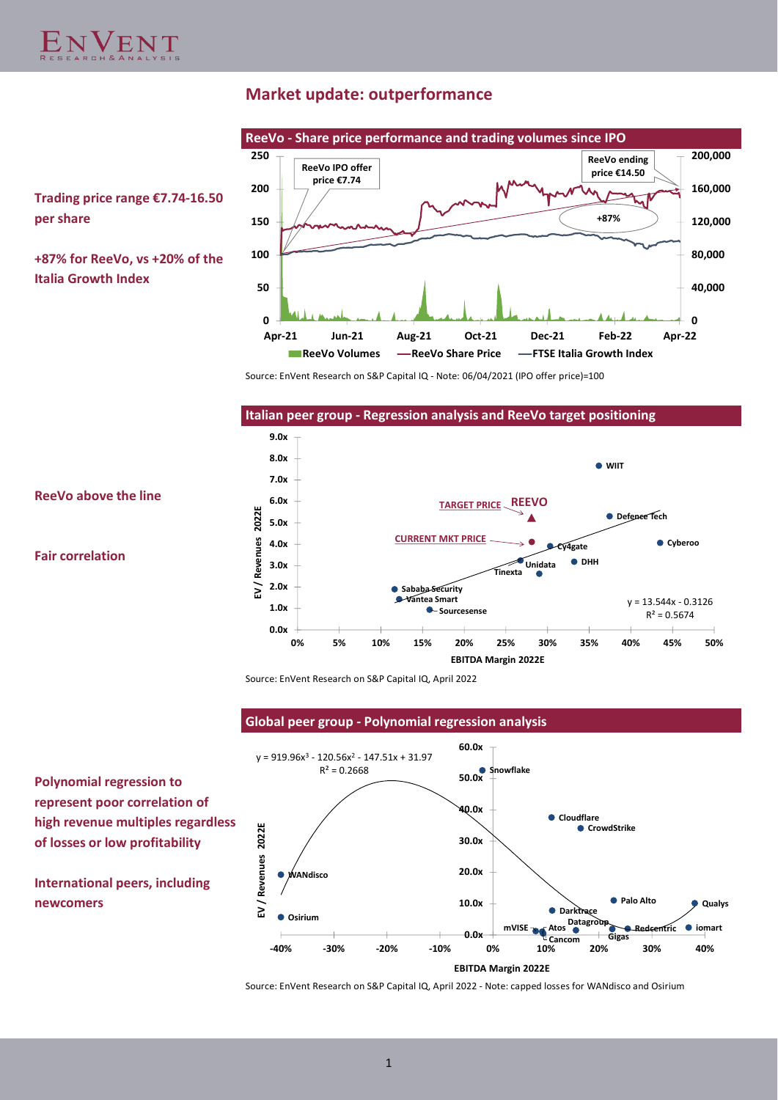**per share**

**Italia Growth Index**

# **Market update: outperformance**

**Trading price range €7.74-16.50 +87% for ReeVo, vs +20% of the 0 50 100 150 200 250 Apr-21 Jun-21 Aug-21 Oct-21 Dec-21 Feb-22 Apr-22 ReeVo Volumes -ReeVo Share Price -FTSE Italia Growth Index ReeVo IPO offer price €7.74 ReeVo ending price €14.50 +87%**

**ReeVo - Share price performance and trading volumes since IPO**

Source: EnVent Research on S&P Capital IQ - Note: 06/04/2021 (IPO offer price)=100



**0**

**40,000**

**80,000**

**120,000**

**160,000**

**200,000**

**ReeVo above the line**

**Fair correlation**

Source: EnVent Research on S&P Capital IQ, April 2022

**Global peer group - Polynomial regression analysis**

**Polynomial regression to represent poor correlation of high revenue multiples regardless of losses or low profitability**

**International peers, including** 



Source: EnVent Research on S&P Capital IQ, April 2022 - Note: capped losses for WANdisco and Osirium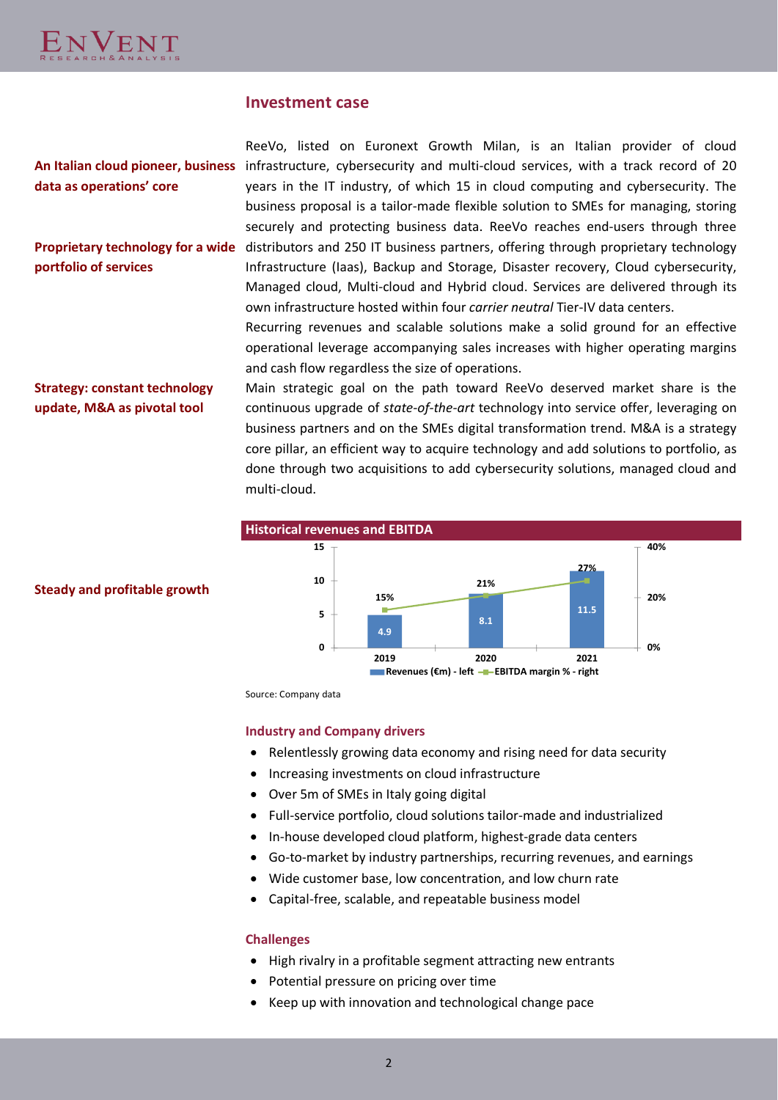

# **Investment case**

**data as operations' core**

**portfolio of services**

An Italian cloud pioneer, business infrastructure, cybersecurity and multi-cloud services, with a track record of 20 Proprietary technology for a wide distributors and 250 IT business partners, offering through proprietary technology ReeVo, listed on Euronext Growth Milan, is an Italian provider of cloud years in the IT industry, of which 15 in cloud computing and cybersecurity. The business proposal is a tailor-made flexible solution to SMEs for managing, storing securely and protecting business data. ReeVo reaches end-users through three Infrastructure (Iaas), Backup and Storage, Disaster recovery, Cloud cybersecurity, Managed cloud, Multi-cloud and Hybrid cloud. Services are delivered through its own infrastructure hosted within four *carrier neutral* Tier-IV data centers.

> Recurring revenues and scalable solutions make a solid ground for an effective operational leverage accompanying sales increases with higher operating margins and cash flow regardless the size of operations.

**Strategy: constant technology update, M&A as pivotal tool**

Main strategic goal on the path toward ReeVo deserved market share is the continuous upgrade of *state-of-the-art* technology into service offer, leveraging on business partners and on the SMEs digital transformation trend. M&A is a strategy core pillar, an efficient way to acquire technology and add solutions to portfolio, as done through two acquisitions to add cybersecurity solutions, managed cloud and multi-cloud.



**Steady and profitable growth**

Source: Company data

## **Industry and Company drivers**

- Relentlessly growing data economy and rising need for data security
- Increasing investments on cloud infrastructure
- Over 5m of SMEs in Italy going digital
- Full-service portfolio, cloud solutions tailor-made and industrialized
- In-house developed cloud platform, highest-grade data centers
- Go-to-market by industry partnerships, recurring revenues, and earnings
- Wide customer base, low concentration, and low churn rate
- Capital-free, scalable, and repeatable business model

## **Challenges**

- High rivalry in a profitable segment attracting new entrants
- Potential pressure on pricing over time
- Keep up with innovation and technological change pace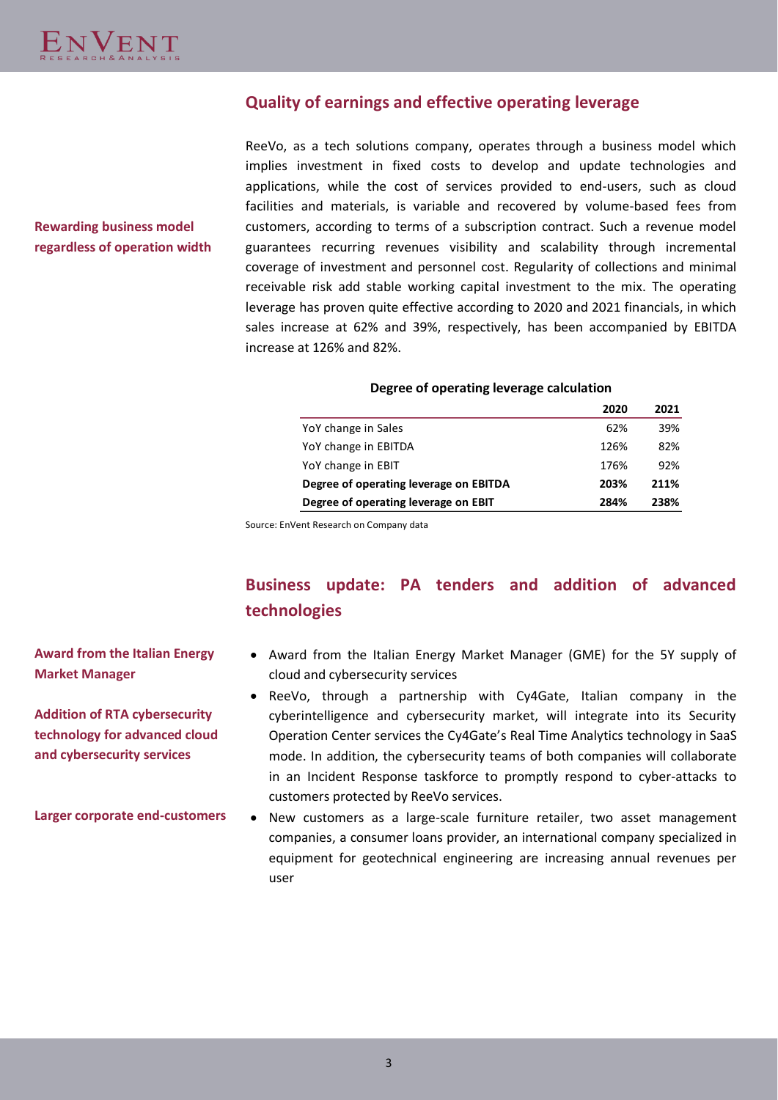# **Quality of earnings and effective operating leverage**

ReeVo, as a tech solutions company, operates through a business model which implies investment in fixed costs to develop and update technologies and applications, while the cost of services provided to end-users, such as cloud facilities and materials, is variable and recovered by volume-based fees from customers, according to terms of a subscription contract. Such a revenue model guarantees recurring revenues visibility and scalability through incremental coverage of investment and personnel cost. Regularity of collections and minimal receivable risk add stable working capital investment to the mix. The operating leverage has proven quite effective according to 2020 and 2021 financials, in which sales increase at 62% and 39%, respectively, has been accompanied by EBITDA increase at 126% and 82%.

## **Degree of operating leverage calculation**

| 2020 | 2021 |
|------|------|
| 62%  | 39%  |
| 126% | 82%  |
| 176% | 92%  |
| 203% | 211% |
| 284% | 238% |
|      |      |

Source: EnVent Research on Company data

# **Business update: PA tenders and addition of advanced technologies**

# • Award from the Italian Energy Market Manager (GME) for the 5Y supply of cloud and cybersecurity services

- ReeVo, through a partnership with Cy4Gate, Italian company in the cyberintelligence and cybersecurity market, will integrate into its Security Operation Center services the Cy4Gate's Real Time Analytics technology in SaaS mode. In addition, the cybersecurity teams of both companies will collaborate in an Incident Response taskforce to promptly respond to cyber-attacks to customers protected by ReeVo services.
- New customers as a large-scale furniture retailer, two asset management companies, a consumer loans provider, an international company specialized in equipment for geotechnical engineering are increasing annual revenues per user

# **Rewarding business model regardless of operation width**

**Award from the Italian Energy Market Manager**

**Addition of RTA cybersecurity technology for advanced cloud and cybersecurity services**

**Larger corporate end-customers**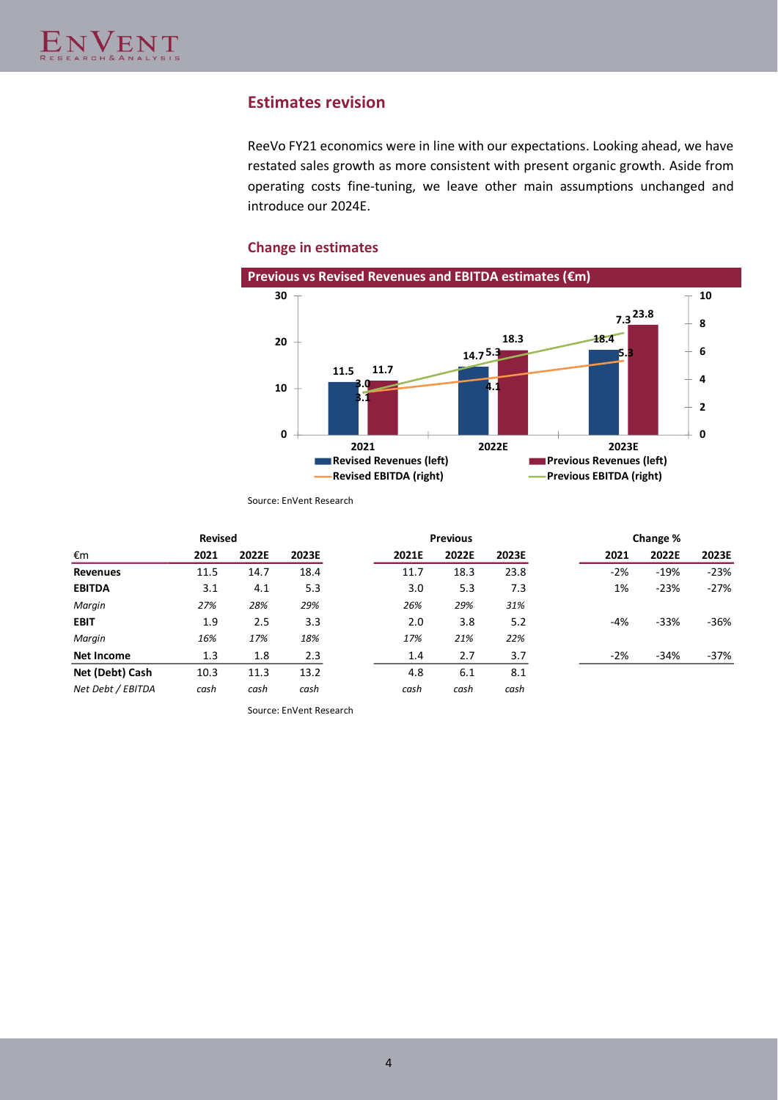# **Estimates revision**

ReeVo FY21 economics were in line with our expectations. Looking ahead, we have restated sales growth as more consistent with present organic growth. Aside from operating costs fine-tuning, we leave other main assumptions unchanged and introduce our 2024E.

## **Change in estimates**



Source: EnVent Research

| <b>Revised</b>    |      |       |       | <b>Previous</b> |       | Change % |        |        |        |
|-------------------|------|-------|-------|-----------------|-------|----------|--------|--------|--------|
| €m                | 2021 | 2022E | 2023E | 2021E           | 2022E | 2023E    | 2021   | 2022E  | 2023E  |
| <b>Revenues</b>   | 11.5 | 14.7  | 18.4  | 11.7            | 18.3  | 23.8     | $-2\%$ | $-19%$ | $-23%$ |
| <b>EBITDA</b>     | 3.1  | 4.1   | 5.3   | 3.0             | 5.3   | 7.3      | 1%     | $-23%$ | $-27%$ |
| Margin            | 27%  | 28%   | 29%   | 26%             | 29%   | 31%      |        |        |        |
| <b>EBIT</b>       | 1.9  | 2.5   | 3.3   | 2.0             | 3.8   | 5.2      | -4%    | $-33%$ | -36%   |
| Margin            | 16%  | 17%   | 18%   | 17%             | 21%   | 22%      |        |        |        |
| Net Income        | 1.3  | 1.8   | 2.3   | 1.4             | 2.7   | 3.7      | $-2%$  | $-34%$ | -37%   |
| Net (Debt) Cash   | 10.3 | 11.3  | 13.2  | 4.8             | 6.1   | 8.1      |        |        |        |
| Net Debt / EBITDA | cash | cash  | cash  | cash            | cash  | cash     |        |        |        |

Source: EnVent Research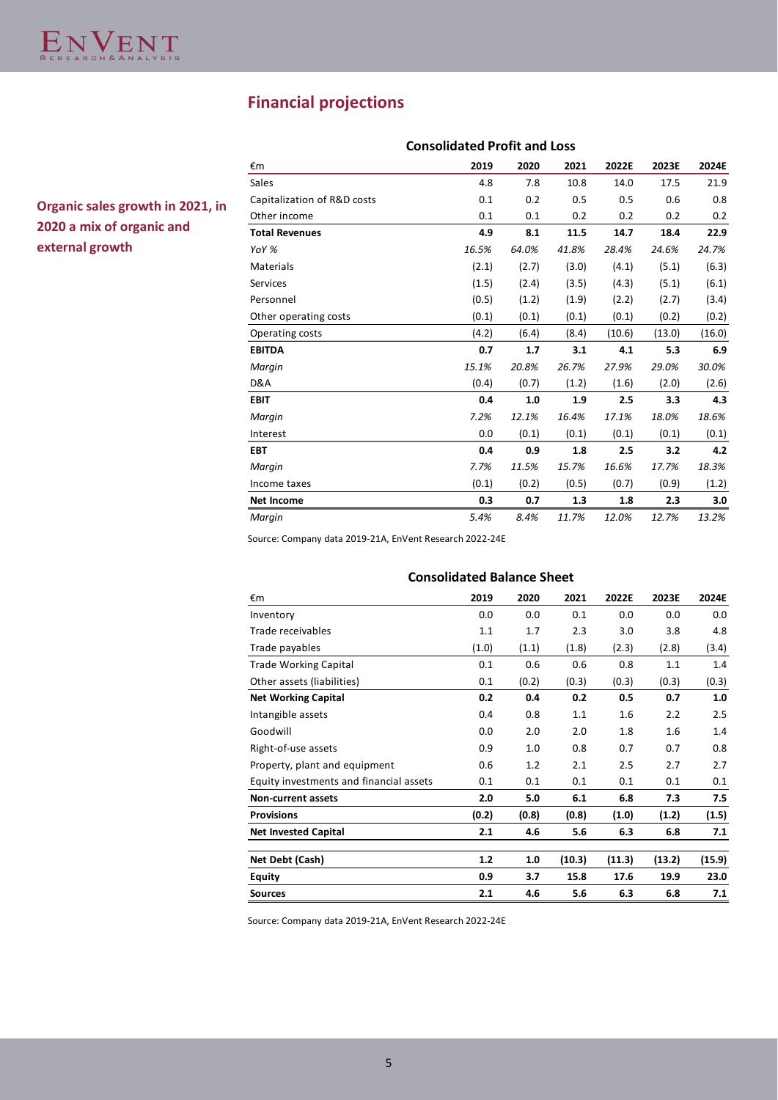# **Financial projections**

|                             | <b>Consolidated Profit and Loss</b> |       |       |        |        |        |  |  |
|-----------------------------|-------------------------------------|-------|-------|--------|--------|--------|--|--|
| €m                          | 2019                                | 2020  | 2021  | 2022E  | 2023E  | 2024E  |  |  |
| Sales                       | 4.8                                 | 7.8   | 10.8  | 14.0   | 17.5   | 21.9   |  |  |
| Capitalization of R&D costs | 0.1                                 | 0.2   | 0.5   | 0.5    | 0.6    | 0.8    |  |  |
| Other income                | 0.1                                 | 0.1   | 0.2   | 0.2    | 0.2    | 0.2    |  |  |
| <b>Total Revenues</b>       | 4.9                                 | 8.1   | 11.5  | 14.7   | 18.4   | 22.9   |  |  |
| YoY %                       | 16.5%                               | 64.0% | 41.8% | 28.4%  | 24.6%  | 24.7%  |  |  |
| Materials                   | (2.1)                               | (2.7) | (3.0) | (4.1)  | (5.1)  | (6.3)  |  |  |
| Services                    | (1.5)                               | (2.4) | (3.5) | (4.3)  | (5.1)  | (6.1)  |  |  |
| Personnel                   | (0.5)                               | (1.2) | (1.9) | (2.2)  | (2.7)  | (3.4)  |  |  |
| Other operating costs       | (0.1)                               | (0.1) | (0.1) | (0.1)  | (0.2)  | (0.2)  |  |  |
| Operating costs             | (4.2)                               | (6.4) | (8.4) | (10.6) | (13.0) | (16.0) |  |  |
| <b>EBITDA</b>               | 0.7                                 | 1.7   | 3.1   | 4.1    | 5.3    | 6.9    |  |  |
| Margin                      | 15.1%                               | 20.8% | 26.7% | 27.9%  | 29.0%  | 30.0%  |  |  |
| D&A                         | (0.4)                               | (0.7) | (1.2) | (1.6)  | (2.0)  | (2.6)  |  |  |
| <b>EBIT</b>                 | 0.4                                 | 1.0   | 1.9   | 2.5    | 3.3    | 4.3    |  |  |
| Margin                      | 7.2%                                | 12.1% | 16.4% | 17.1%  | 18.0%  | 18.6%  |  |  |
| Interest                    | 0.0                                 | (0.1) | (0.1) | (0.1)  | (0.1)  | (0.1)  |  |  |
| <b>EBT</b>                  | 0.4                                 | 0.9   | 1.8   | 2.5    | 3.2    | 4.2    |  |  |
| Margin                      | 7.7%                                | 11.5% | 15.7% | 16.6%  | 17.7%  | 18.3%  |  |  |
| Income taxes                | (0.1)                               | (0.2) | (0.5) | (0.7)  | (0.9)  | (1.2)  |  |  |
| <b>Net Income</b>           | 0.3                                 | 0.7   | 1.3   | 1.8    | 2.3    | 3.0    |  |  |
| Margin                      | 5.4%                                | 8.4%  | 11.7% | 12.0%  | 12.7%  | 13.2%  |  |  |

**Organic sales growth in 2021, in 2020 a mix of organic and external growth**

Source: Company data 2019-21A, EnVent Research 2022-24E

| <b>Consolidated Balance Sheet</b>       |       |       |        |        |        |        |  |  |  |  |
|-----------------------------------------|-------|-------|--------|--------|--------|--------|--|--|--|--|
| €m                                      | 2019  | 2020  | 2021   | 2022E  | 2023E  | 2024E  |  |  |  |  |
| Inventory                               | 0.0   | 0.0   | 0.1    | 0.0    | 0.0    | 0.0    |  |  |  |  |
| Trade receivables                       | 1.1   | 1.7   | 2.3    | 3.0    | 3.8    | 4.8    |  |  |  |  |
| Trade payables                          | (1.0) | (1.1) | (1.8)  | (2.3)  | (2.8)  | (3.4)  |  |  |  |  |
| <b>Trade Working Capital</b>            | 0.1   | 0.6   | 0.6    | 0.8    | 1.1    | 1.4    |  |  |  |  |
| Other assets (liabilities)              | 0.1   | (0.2) | (0.3)  | (0.3)  | (0.3)  | (0.3)  |  |  |  |  |
| <b>Net Working Capital</b>              | 0.2   | 0.4   | 0.2    | 0.5    | 0.7    | 1.0    |  |  |  |  |
| Intangible assets                       | 0.4   | 0.8   | 1.1    | 1.6    | 2.2    | 2.5    |  |  |  |  |
| Goodwill                                | 0.0   | 2.0   | 2.0    | 1.8    | 1.6    | 1.4    |  |  |  |  |
| Right-of-use assets                     | 0.9   | 1.0   | 0.8    | 0.7    | 0.7    | 0.8    |  |  |  |  |
| Property, plant and equipment           | 0.6   | 1.2   | 2.1    | 2.5    | 2.7    | 2.7    |  |  |  |  |
| Equity investments and financial assets | 0.1   | 0.1   | 0.1    | 0.1    | 0.1    | 0.1    |  |  |  |  |
| <b>Non-current assets</b>               | 2.0   | 5.0   | 6.1    | 6.8    | 7.3    | 7.5    |  |  |  |  |
| <b>Provisions</b>                       | (0.2) | (0.8) | (0.8)  | (1.0)  | (1.2)  | (1.5)  |  |  |  |  |
| <b>Net Invested Capital</b>             | 2.1   | 4.6   | 5.6    | 6.3    | 6.8    | 7.1    |  |  |  |  |
| Net Debt (Cash)                         | 1.2   | 1.0   | (10.3) | (11.3) | (13.2) | (15.9) |  |  |  |  |
| <b>Equity</b>                           | 0.9   | 3.7   | 15.8   | 17.6   | 19.9   | 23.0   |  |  |  |  |
| <b>Sources</b>                          | 2.1   | 4.6   | 5.6    | 6.3    | 6.8    | 7.1    |  |  |  |  |

Source: Company data 2019-21A, EnVent Research 2022-24E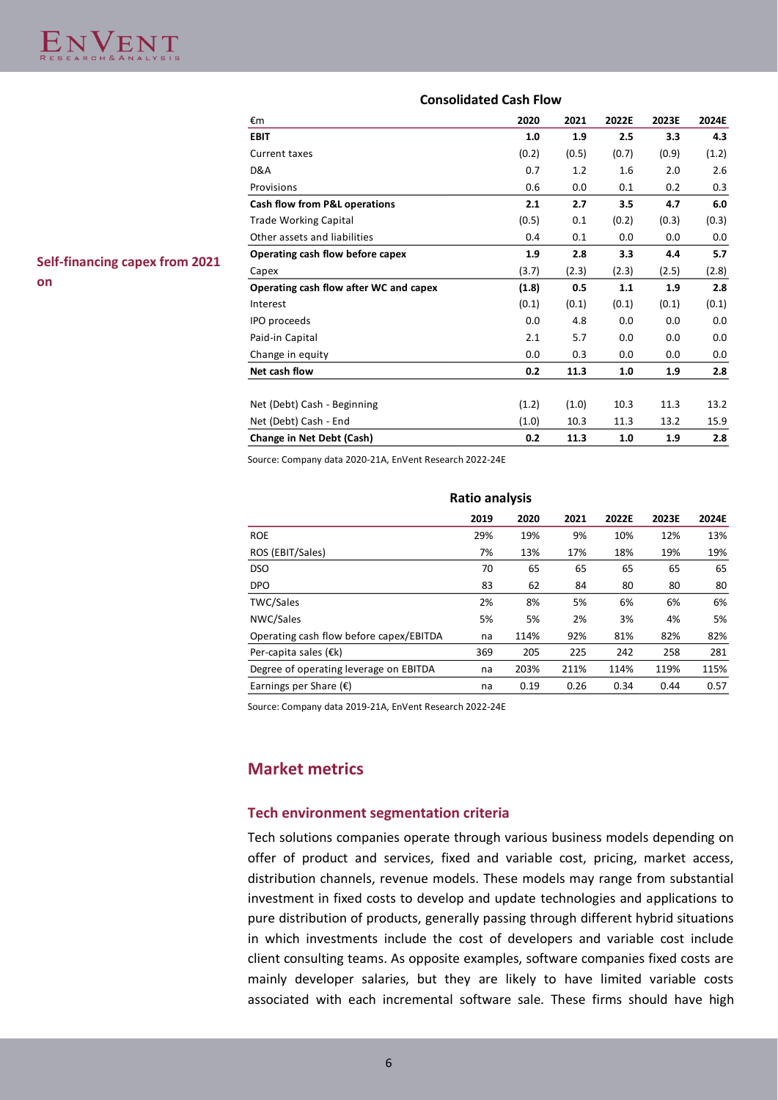## **Consolidated Cash Flow**

| <b>Self-financing capex from 2021</b> | Other assets and I |
|---------------------------------------|--------------------|
|                                       | Operating cash flo |
|                                       | Capex              |
| on                                    | Operating cash flo |
|                                       | Interest           |

| €m                                     | 2020  | 2021  | 2022E | 2023E | 2024E |
|----------------------------------------|-------|-------|-------|-------|-------|
| <b>EBIT</b>                            | 1.0   | 1.9   | 2.5   | 3.3   | 4.3   |
| Current taxes                          | (0.2) | (0.5) | (0.7) | (0.9) | (1.2) |
| D&A                                    | 0.7   | 1.2   | 1.6   | 2.0   | 2.6   |
| Provisions                             | 0.6   | 0.0   | 0.1   | 0.2   | 0.3   |
| Cash flow from P&L operations          | 2.1   | 2.7   | 3.5   | 4.7   | 6.0   |
| <b>Trade Working Capital</b>           | (0.5) | 0.1   | (0.2) | (0.3) | (0.3) |
| Other assets and liabilities           | 0.4   | 0.1   | 0.0   | 0.0   | 0.0   |
| Operating cash flow before capex       | 1.9   | 2.8   | 3.3   | 4.4   | 5.7   |
| Capex                                  | (3.7) | (2.3) | (2.3) | (2.5) | (2.8) |
| Operating cash flow after WC and capex | (1.8) | 0.5   | 1.1   | 1.9   | 2.8   |
| Interest                               | (0.1) | (0.1) | (0.1) | (0.1) | (0.1) |
| IPO proceeds                           | 0.0   | 4.8   | 0.0   | 0.0   | 0.0   |
| Paid-in Capital                        | 2.1   | 5.7   | 0.0   | 0.0   | 0.0   |
| Change in equity                       | 0.0   | 0.3   | 0.0   | 0.0   | 0.0   |
| Net cash flow                          | 0.2   | 11.3  | 1.0   | 1.9   | 2.8   |
|                                        |       |       |       |       |       |
| Net (Debt) Cash - Beginning            | (1.2) | (1.0) | 10.3  | 11.3  | 13.2  |
| Net (Debt) Cash - End                  | (1.0) | 10.3  | 11.3  | 13.2  | 15.9  |
| Change in Net Debt (Cash)              | 0.2   | 11.3  | 1.0   | 1.9   | 2.8   |
|                                        |       |       |       |       |       |

Source: Company data 2020-21A, EnVent Research 2022-24E

| Ratio analysis                          |      |      |      |       |       |       |  |  |  |  |
|-----------------------------------------|------|------|------|-------|-------|-------|--|--|--|--|
|                                         | 2019 | 2020 | 2021 | 2022E | 2023E | 2024E |  |  |  |  |
| <b>ROE</b>                              | 29%  | 19%  | 9%   | 10%   | 12%   | 13%   |  |  |  |  |
| ROS (EBIT/Sales)                        | 7%   | 13%  | 17%  | 18%   | 19%   | 19%   |  |  |  |  |
| <b>DSO</b>                              | 70   | 65   | 65   | 65    | 65    | 65    |  |  |  |  |
| DPO                                     | 83   | 62   | 84   | 80    | 80    | 80    |  |  |  |  |
| <b>TWC/Sales</b>                        | 2%   | 8%   | 5%   | 6%    | 6%    | 6%    |  |  |  |  |
| NWC/Sales                               | 5%   | 5%   | 2%   | 3%    | 4%    | 5%    |  |  |  |  |
| Operating cash flow before capex/EBITDA | na   | 114% | 92%  | 81%   | 82%   | 82%   |  |  |  |  |
| Per-capita sales $(\epsilon k)$         | 369  | 205  | 225  | 242   | 258   | 281   |  |  |  |  |
| Degree of operating leverage on EBITDA  | na   | 203% | 211% | 114%  | 119%  | 115%  |  |  |  |  |
| Earnings per Share $(E)$                | na   | 0.19 | 0.26 | 0.34  | 0.44  | 0.57  |  |  |  |  |

Source: Company data 2019-21A, EnVent Research 2022-24E

# **Market metrics**

## **Tech environment segmentation criteria**

Tech solutions companies operate through various business models depending on offer of product and services, fixed and variable cost, pricing, market access, distribution channels, revenue models. These models may range from substantial investment in fixed costs to develop and update technologies and applications to pure distribution of products, generally passing through different hybrid situations in which investments include the cost of developers and variable cost include client consulting teams. As opposite examples, software companies fixed costs are mainly developer salaries, but they are likely to have limited variable costs associated with each incremental software sale. These firms should have high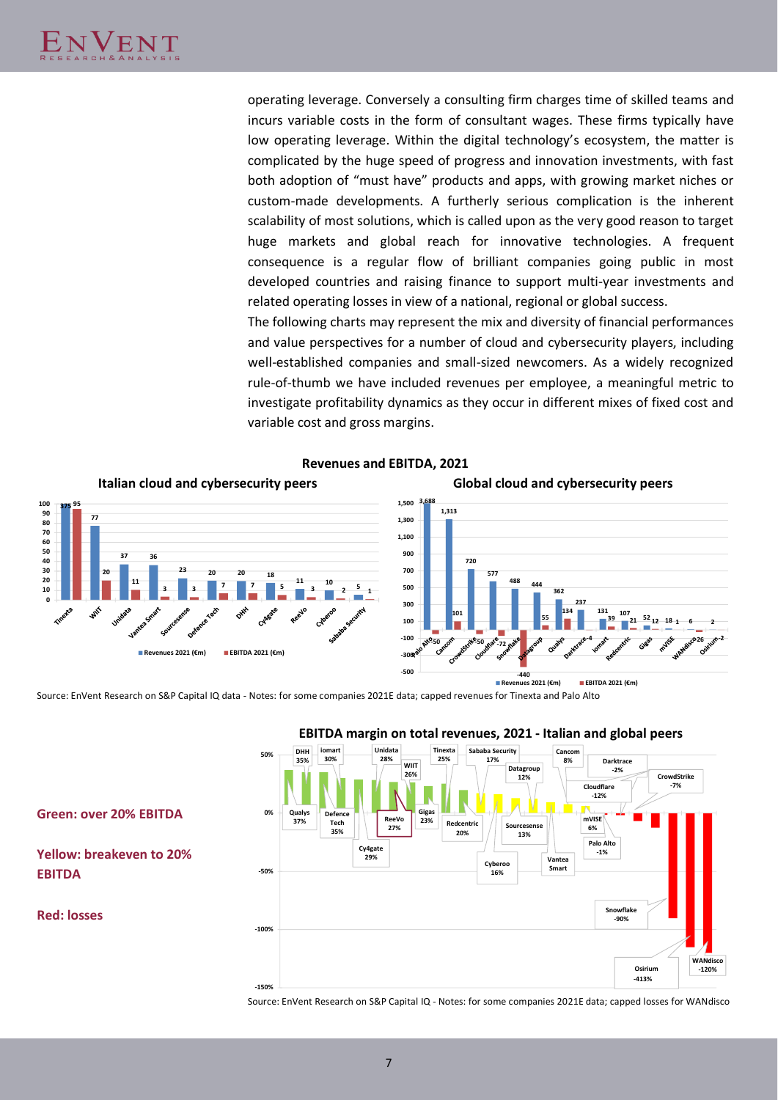operating leverage. Conversely a consulting firm charges time of skilled teams and incurs variable costs in the form of consultant wages. These firms typically have low operating leverage. Within the digital technology's ecosystem, the matter is complicated by the huge speed of progress and innovation investments, with fast both adoption of "must have" products and apps, with growing market niches or custom-made developments. A furtherly serious complication is the inherent scalability of most solutions, which is called upon as the very good reason to target huge markets and global reach for innovative technologies. A frequent consequence is a regular flow of brilliant companies going public in most developed countries and raising finance to support multi-year investments and related operating losses in view of a national, regional or global success.

The following charts may represent the mix and diversity of financial performances and value perspectives for a number of cloud and cybersecurity players, including well-established companies and small-sized newcomers. As a widely recognized rule-of-thumb we have included revenues per employee, a meaningful metric to investigate profitability dynamics as they occur in different mixes of fixed cost and variable cost and gross margins.



**Revenues and EBITDA, 2021**

Source: EnVent Research on S&P Capital IQ data - Notes: for some companies 2021E data; capped revenues for Tinexta and Palo Alto



# **EBITDA margin on total revenues, 2021 - Italian and global peers**

Source: EnVent Research on S&P Capital IQ - Notes: for some companies 2021E data; capped losses for WANdisco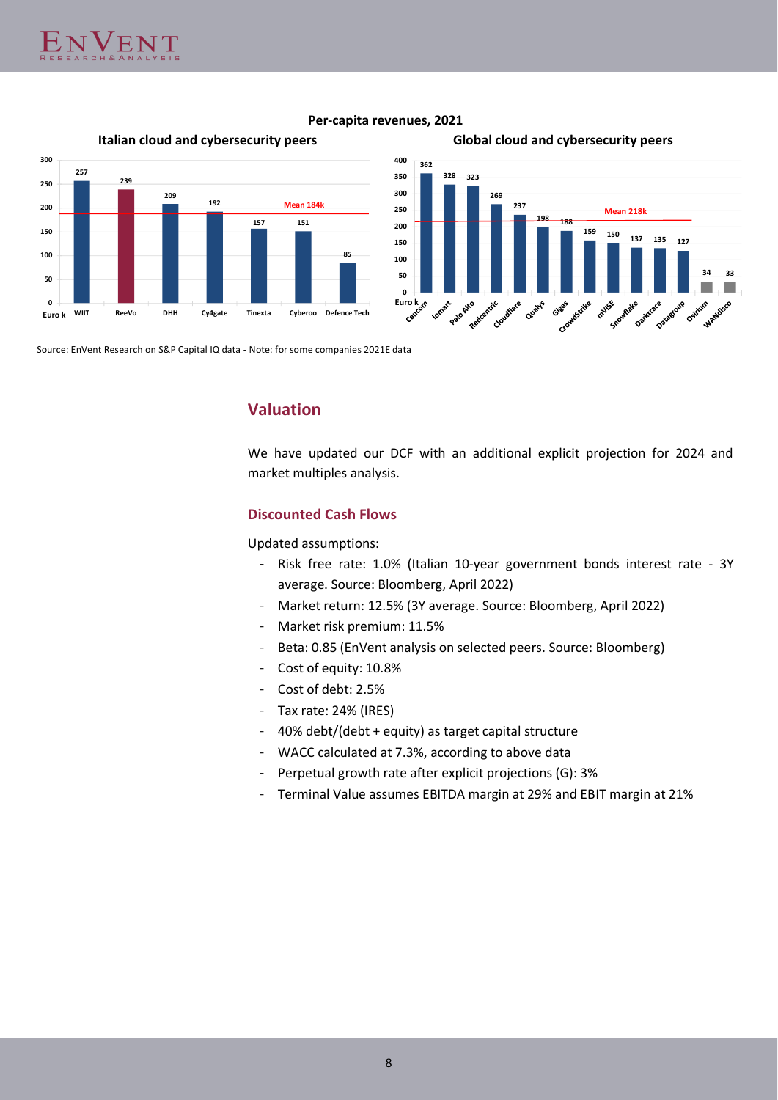









Source: EnVent Research on S&P Capital IQ data - Note: for some companies 2021E data

# **Valuation**

We have updated our DCF with an additional explicit projection for 2024 and market multiples analysis.

## **Discounted Cash Flows**

Updated assumptions:

- Risk free rate: 1.0% (Italian 10-year government bonds interest rate 3Y average. Source: Bloomberg, April 2022)
- Market return: 12.5% (3Y average. Source: Bloomberg, April 2022)
- Market risk premium: 11.5%
- Beta: 0.85 (EnVent analysis on selected peers. Source: Bloomberg)
- Cost of equity: 10.8%
- Cost of debt: 2.5%
- Tax rate: 24% (IRES)
- 40% debt/(debt + equity) as target capital structure
- WACC calculated at 7.3%, according to above data
- Perpetual growth rate after explicit projections (G): 3%
- Terminal Value assumes EBITDA margin at 29% and EBIT margin at 21%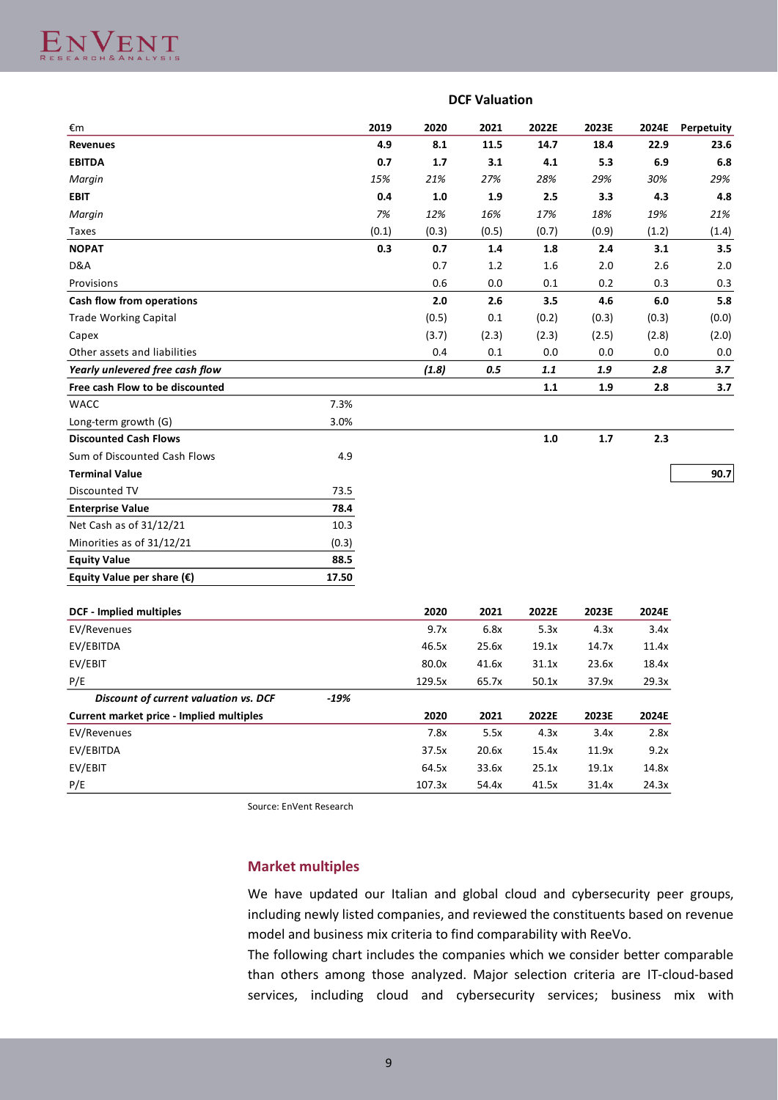|                                          | <b>DCF Valuation</b> |       |        |       |       |       |       |            |  |
|------------------------------------------|----------------------|-------|--------|-------|-------|-------|-------|------------|--|
| €m                                       |                      | 2019  | 2020   | 2021  | 2022E | 2023E | 2024E | Perpetuity |  |
| <b>Revenues</b>                          |                      | 4.9   | 8.1    | 11.5  | 14.7  | 18.4  | 22.9  | 23.6       |  |
| <b>EBITDA</b>                            |                      | 0.7   | 1.7    | 3.1   | 4.1   | 5.3   | 6.9   | 6.8        |  |
| Margin                                   |                      | 15%   | 21%    | 27%   | 28%   | 29%   | 30%   | 29%        |  |
| <b>EBIT</b>                              |                      | 0.4   | 1.0    | 1.9   | 2.5   | 3.3   | 4.3   | 4.8        |  |
| Margin                                   |                      | 7%    | 12%    | 16%   | 17%   | 18%   | 19%   | 21%        |  |
| Taxes                                    |                      | (0.1) | (0.3)  | (0.5) | (0.7) | (0.9) | (1.2) | (1.4)      |  |
| <b>NOPAT</b>                             |                      | 0.3   | 0.7    | 1.4   | 1.8   | 2.4   | 3.1   | 3.5        |  |
| D&A                                      |                      |       | 0.7    | 1.2   | 1.6   | 2.0   | 2.6   | 2.0        |  |
| Provisions                               |                      |       | 0.6    | 0.0   | 0.1   | 0.2   | 0.3   | 0.3        |  |
| Cash flow from operations                |                      |       | 2.0    | 2.6   | 3.5   | 4.6   | 6.0   | 5.8        |  |
| <b>Trade Working Capital</b>             |                      |       | (0.5)  | 0.1   | (0.2) | (0.3) | (0.3) | (0.0)      |  |
| Capex                                    |                      |       | (3.7)  | (2.3) | (2.3) | (2.5) | (2.8) | (2.0)      |  |
| Other assets and liabilities             |                      |       | 0.4    | 0.1   | 0.0   | 0.0   | 0.0   | 0.0        |  |
| Yearly unlevered free cash flow          |                      |       | (1.8)  | 0.5   | 1.1   | 1.9   | 2.8   | 3.7        |  |
| Free cash Flow to be discounted          |                      |       |        |       | 1.1   | 1.9   | 2.8   | 3.7        |  |
| WACC                                     | 7.3%                 |       |        |       |       |       |       |            |  |
| Long-term growth (G)                     | 3.0%                 |       |        |       |       |       |       |            |  |
| <b>Discounted Cash Flows</b>             |                      |       |        |       | 1.0   | 1.7   | 2.3   |            |  |
| Sum of Discounted Cash Flows             | 4.9                  |       |        |       |       |       |       |            |  |
| <b>Terminal Value</b>                    |                      |       |        |       |       |       |       | 90.7       |  |
| Discounted TV                            | 73.5                 |       |        |       |       |       |       |            |  |
| <b>Enterprise Value</b>                  | 78.4                 |       |        |       |       |       |       |            |  |
| Net Cash as of 31/12/21                  | 10.3                 |       |        |       |       |       |       |            |  |
| Minorities as of 31/12/21                | (0.3)                |       |        |       |       |       |       |            |  |
| <b>Equity Value</b>                      | 88.5                 |       |        |       |       |       |       |            |  |
| Equity Value per share $(\epsilon)$      | 17.50                |       |        |       |       |       |       |            |  |
|                                          |                      |       |        |       |       |       |       |            |  |
| <b>DCF - Implied multiples</b>           |                      |       | 2020   | 2021  | 2022E | 2023E | 2024E |            |  |
| EV/Revenues                              |                      |       | 9.7x   | 6.8x  | 5.3x  | 4.3x  | 3.4x  |            |  |
| EV/EBITDA                                |                      |       | 46.5x  | 25.6x | 19.1x | 14.7x | 11.4x |            |  |
| EV/EBIT                                  |                      |       | 80.0x  | 41.6x | 31.1x | 23.6x | 18.4x |            |  |
| P/E                                      |                      |       | 129.5x | 65.7x | 50.1x | 37.9x | 29.3x |            |  |
| Discount of current valuation vs. DCF    | $-19%$               |       |        |       |       |       |       |            |  |
| Current market price - Implied multiples |                      |       | 2020   | 2021  | 2022E | 2023E | 2024E |            |  |
| EV/Revenues                              |                      |       | 7.8x   | 5.5x  | 4.3x  | 3.4x  | 2.8x  |            |  |
| EV/EBITDA                                |                      |       | 37.5x  | 20.6x | 15.4x | 11.9x | 9.2x  |            |  |

Source: EnVent Research

EV/EBIT 64.5x 33.6x 25.1x 19.1x 14.8x P/E 107.3x 54.4x 41.5x 31.4x 24.3x

# **Market multiples**

We have updated our Italian and global cloud and cybersecurity peer groups, including newly listed companies, and reviewed the constituents based on revenue model and business mix criteria to find comparability with ReeVo.

The following chart includes the companies which we consider better comparable than others among those analyzed. Major selection criteria are IT-cloud-based services, including cloud and cybersecurity services; business mix with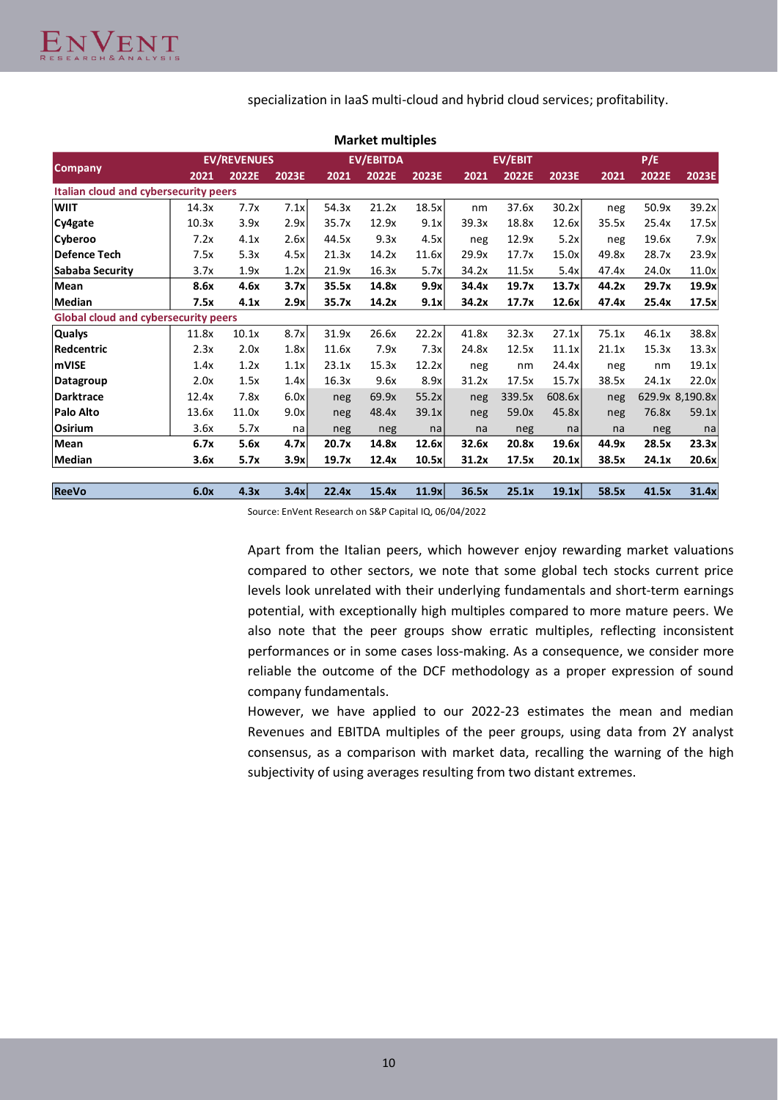specialization in IaaS multi-cloud and hybrid cloud services; profitability.

|                                             |       |                    |       |       | <b>Market multiples</b> |       |       |                |        |       |       |                 |
|---------------------------------------------|-------|--------------------|-------|-------|-------------------------|-------|-------|----------------|--------|-------|-------|-----------------|
|                                             |       | <b>EV/REVENUES</b> |       |       | <b>EV/EBITDA</b>        |       |       | <b>EV/EBIT</b> |        |       | P/E   |                 |
| <b>Company</b>                              | 2021  | 2022E              | 2023E | 2021  | 2022E                   | 2023E | 2021  | 2022E          | 2023E  | 2021  | 2022E | 2023E           |
| Italian cloud and cybersecurity peers       |       |                    |       |       |                         |       |       |                |        |       |       |                 |
| <b>WIIT</b>                                 | 14.3x | 7.7x               | 7.1x  | 54.3x | 21.2x                   | 18.5x | nm    | 37.6x          | 30.2x  | neg   | 50.9x | 39.2x           |
| Cy4gate                                     | 10.3x | 3.9x               | 2.9x  | 35.7x | 12.9x                   | 9.1x  | 39.3x | 18.8x          | 12.6x  | 35.5x | 25.4x | 17.5x           |
| Cyberoo                                     | 7.2x  | 4.1x               | 2.6x  | 44.5x | 9.3x                    | 4.5x  | neg   | 12.9x          | 5.2x   | neg   | 19.6x | 7.9x            |
| Defence Tech                                | 7.5x  | 5.3x               | 4.5x  | 21.3x | 14.2x                   | 11.6x | 29.9x | 17.7x          | 15.0x  | 49.8x | 28.7x | 23.9x           |
| Sababa Security                             | 3.7x  | 1.9x               | 1.2x  | 21.9x | 16.3x                   | 5.7x  | 34.2x | 11.5x          | 5.4x   | 47.4x | 24.0x | 11.0x           |
| Mean                                        | 8.6x  | 4.6x               | 3.7x  | 35.5x | 14.8x                   | 9.9x  | 34.4x | 19.7x          | 13.7x  | 44.2x | 29.7x | 19.9x           |
| Median                                      | 7.5x  | 4.1x               | 2.9x  | 35.7x | 14.2x                   | 9.1x  | 34.2x | 17.7x          | 12.6x  | 47.4x | 25.4x | 17.5x           |
| <b>Global cloud and cybersecurity peers</b> |       |                    |       |       |                         |       |       |                |        |       |       |                 |
| <b>Qualys</b>                               | 11.8x | 10.1x              | 8.7x  | 31.9x | 26.6x                   | 22.2x | 41.8x | 32.3x          | 27.1x  | 75.1x | 46.1x | 38.8x           |
| Redcentric                                  | 2.3x  | 2.0x               | 1.8x  | 11.6x | 7.9x                    | 7.3x  | 24.8x | 12.5x          | 11.1x  | 21.1x | 15.3x | 13.3x           |
| mVISE                                       | 1.4x  | 1.2x               | 1.1x  | 23.1x | 15.3x                   | 12.2x | neg   | nm             | 24.4x  | neg   | nm    | 19.1x           |
| Datagroup                                   | 2.0x  | 1.5x               | 1.4x  | 16.3x | 9.6x                    | 8.9x  | 31.2x | 17.5x          | 15.7x  | 38.5x | 24.1x | 22.0x           |
| Darktrace                                   | 12.4x | 7.8x               | 6.0x  | neg   | 69.9x                   | 55.2x | neg   | 339.5x         | 608.6x | neg   |       | 629.9x 8,190.8x |
| Palo Alto                                   | 13.6x | 11.0x              | 9.0x  | neg   | 48.4x                   | 39.1x | neg   | 59.0x          | 45.8x  | neg   | 76.8x | 59.1x           |
| Osirium                                     | 3.6x  | 5.7x               | na    | neg   | neg                     | na    | na    | neg            | na     | na    | neg   | na              |
| Mean                                        | 6.7x  | 5.6x               | 4.7x  | 20.7x | 14.8x                   | 12.6x | 32.6x | 20.8x          | 19.6x  | 44.9x | 28.5x | 23.3x           |
| Median                                      | 3.6x  | 5.7x               | 3.9x  | 19.7x | 12.4x                   | 10.5x | 31.2x | 17.5x          | 20.1x  | 38.5x | 24.1x | 20.6x           |
| <b>ReeVo</b>                                | 6.0x  | 4.3x               | 3.4x  | 22.4x | 15.4x                   | 11.9x | 36.5x | 25.1x          | 19.1x  | 58.5x | 41.5x | 31.4x           |

**Market multiples**

Source: EnVent Research on S&P Capital IQ, 06/04/2022

Apart from the Italian peers, which however enjoy rewarding market valuations compared to other sectors, we note that some global tech stocks current price levels look unrelated with their underlying fundamentals and short-term earnings potential, with exceptionally high multiples compared to more mature peers. We also note that the peer groups show erratic multiples, reflecting inconsistent performances or in some cases loss-making. As a consequence, we consider more reliable the outcome of the DCF methodology as a proper expression of sound company fundamentals.

However, we have applied to our 2022-23 estimates the mean and median Revenues and EBITDA multiples of the peer groups, using data from 2Y analyst consensus, as a comparison with market data, recalling the warning of the high subjectivity of using averages resulting from two distant extremes.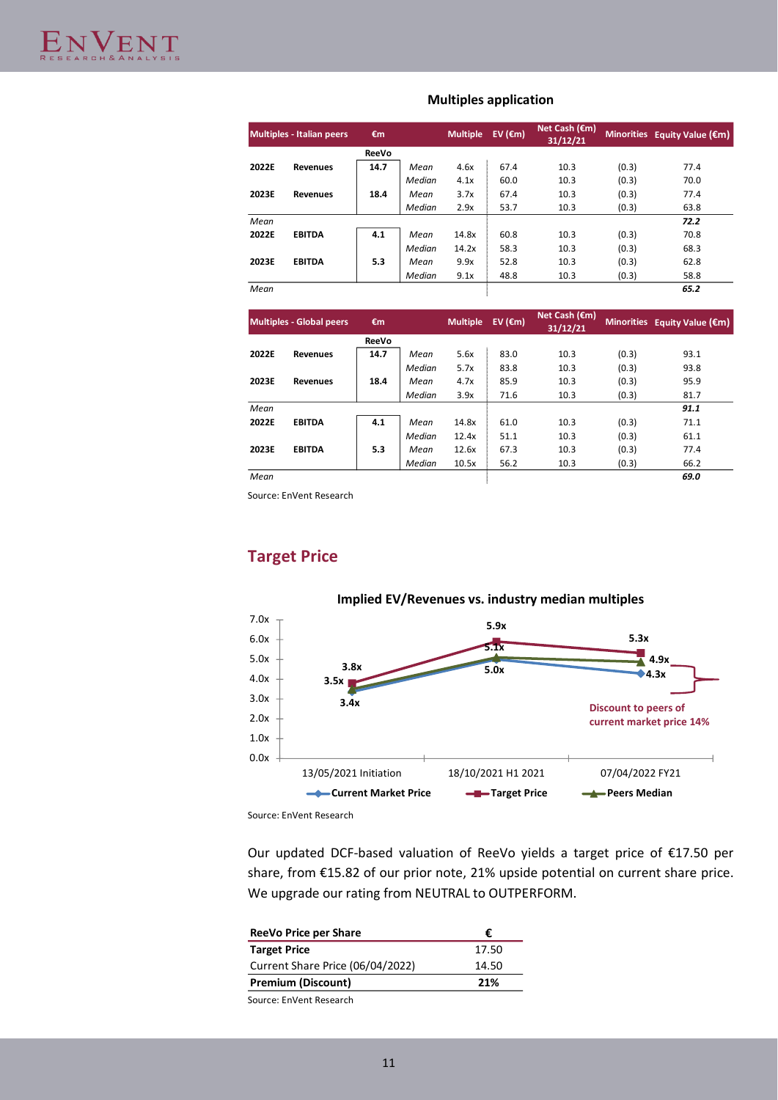|       | <b>Multiples - Italian peers</b> | €m           |        | <b>Multiple</b> | EV ( $\epsilon$ m) | Net Cash $(\epsilon m)$<br>31/12/21 |       | Minorities Equity Value $(\epsilon m)$ |
|-------|----------------------------------|--------------|--------|-----------------|--------------------|-------------------------------------|-------|----------------------------------------|
|       |                                  | <b>ReeVo</b> |        |                 |                    |                                     |       |                                        |
| 2022E | <b>Revenues</b>                  | 14.7         | Mean   | 4.6x            | 67.4               | 10.3                                | (0.3) | 77.4                                   |
|       |                                  |              | Median | 4.1x            | 60.0               | 10.3                                | (0.3) | 70.0                                   |
| 2023E | <b>Revenues</b>                  | 18.4         | Mean   | 3.7x            | 67.4               | 10.3                                | (0.3) | 77.4                                   |
|       |                                  |              | Median | 2.9x            | 53.7               | 10.3                                | (0.3) | 63.8                                   |
| Mean  |                                  |              |        |                 |                    |                                     |       | 72.2                                   |
| 2022E | <b>EBITDA</b>                    | 4.1          | Mean   | 14.8x           | 60.8               | 10.3                                | (0.3) | 70.8                                   |
|       |                                  |              | Median | 14.2x           | 58.3               | 10.3                                | (0.3) | 68.3                                   |
| 2023E | <b>EBITDA</b>                    | 5.3          | Mean   | 9.9x            | 52.8               | 10.3                                | (0.3) | 62.8                                   |
|       |                                  |              | Median | 9.1x            | 48.8               | 10.3                                | (0.3) | 58.8                                   |
| Mean  |                                  |              |        |                 |                    |                                     |       | 65.2                                   |
|       | <b>Multiples - Global peers</b>  | €m           |        | <b>Multiple</b> | EV ( $\epsilon$ m) | Net Cash $(\epsilon m)$<br>31/12/21 |       | Minorities Equity Value $(\epsilon m)$ |
|       |                                  | ReeVo        |        |                 |                    |                                     |       |                                        |

## **Multiples application**

|       | Multiples - Global peers | €m           |        | <b>Multiple</b> | EV ( $\epsilon$ m) | Net Cash $(\epsilon m)$<br>31/12/21 |       | Minorities Equity Value $(\epsilon m)$ |
|-------|--------------------------|--------------|--------|-----------------|--------------------|-------------------------------------|-------|----------------------------------------|
|       |                          | <b>ReeVo</b> |        |                 |                    |                                     |       |                                        |
| 2022E | <b>Revenues</b>          | 14.7         | Mean   | 5.6x            | 83.0               | 10.3                                | (0.3) | 93.1                                   |
|       |                          |              | Median | 5.7x            | 83.8               | 10.3                                | (0.3) | 93.8                                   |
| 2023E | <b>Revenues</b>          | 18.4         | Mean   | 4.7x            | 85.9               | 10.3                                | (0.3) | 95.9                                   |
|       |                          |              | Median | 3.9x            | 71.6               | 10.3                                | (0.3) | 81.7                                   |
| Mean  |                          |              |        |                 |                    |                                     |       | 91.1                                   |
| 2022E | <b>EBITDA</b>            | 4.1          | Mean   | 14.8x           | 61.0               | 10.3                                | (0.3) | 71.1                                   |
|       |                          |              | Median | 12.4x           | 51.1               | 10.3                                | (0.3) | 61.1                                   |
| 2023E | <b>EBITDA</b>            | 5.3          | Mean   | 12.6x           | 67.3               | 10.3                                | (0.3) | 77.4                                   |
|       |                          |              | Median | 10.5x           | 56.2               | 10.3                                | (0.3) | 66.2                                   |
| Mean  |                          |              |        |                 |                    |                                     |       | 69.0                                   |

Source: EnVent Research

# **Target Price**



Source: EnVent Research

Our updated DCF-based valuation of ReeVo yields a target price of €17.50 per share, from €15.82 of our prior note, 21% upside potential on current share price. We upgrade our rating from NEUTRAL to OUTPERFORM.

| ReeVo Price per Share            | €     |
|----------------------------------|-------|
| <b>Target Price</b>              | 17.50 |
| Current Share Price (06/04/2022) | 14.50 |
| <b>Premium (Discount)</b>        | 21%   |
| Source: EnVent Research          |       |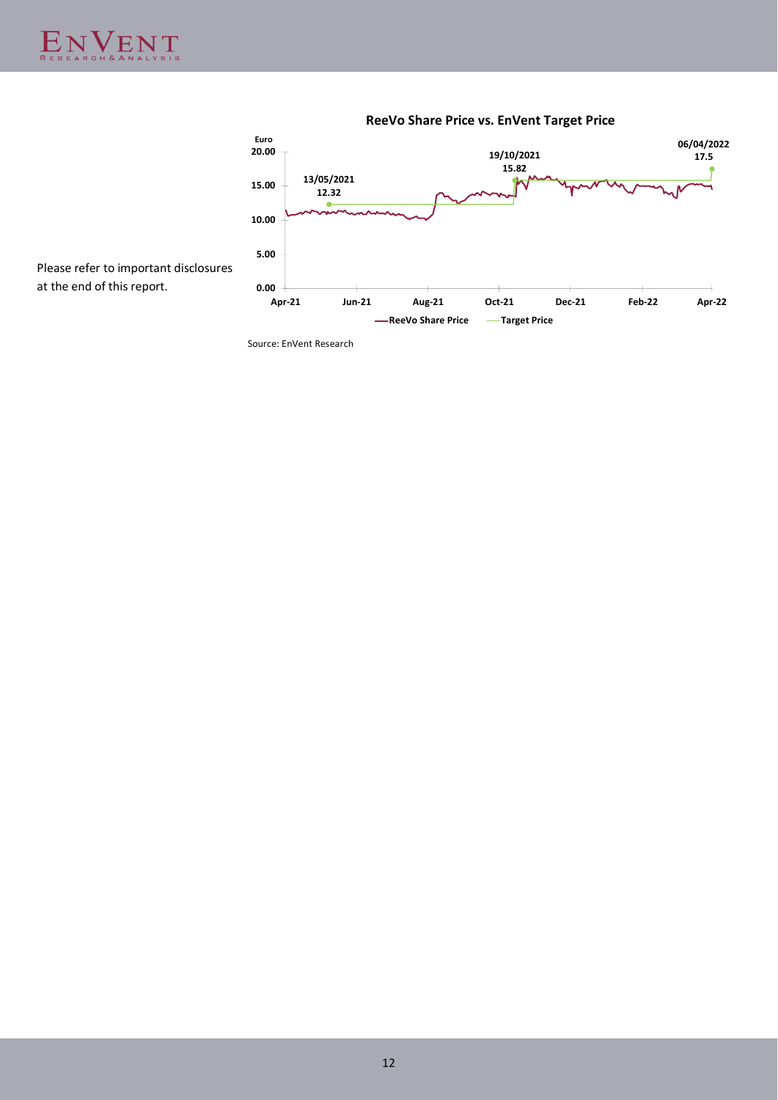

**ReeVo Share Price vs. EnVent Target Price**

at the end of this report.

Source: EnVent Research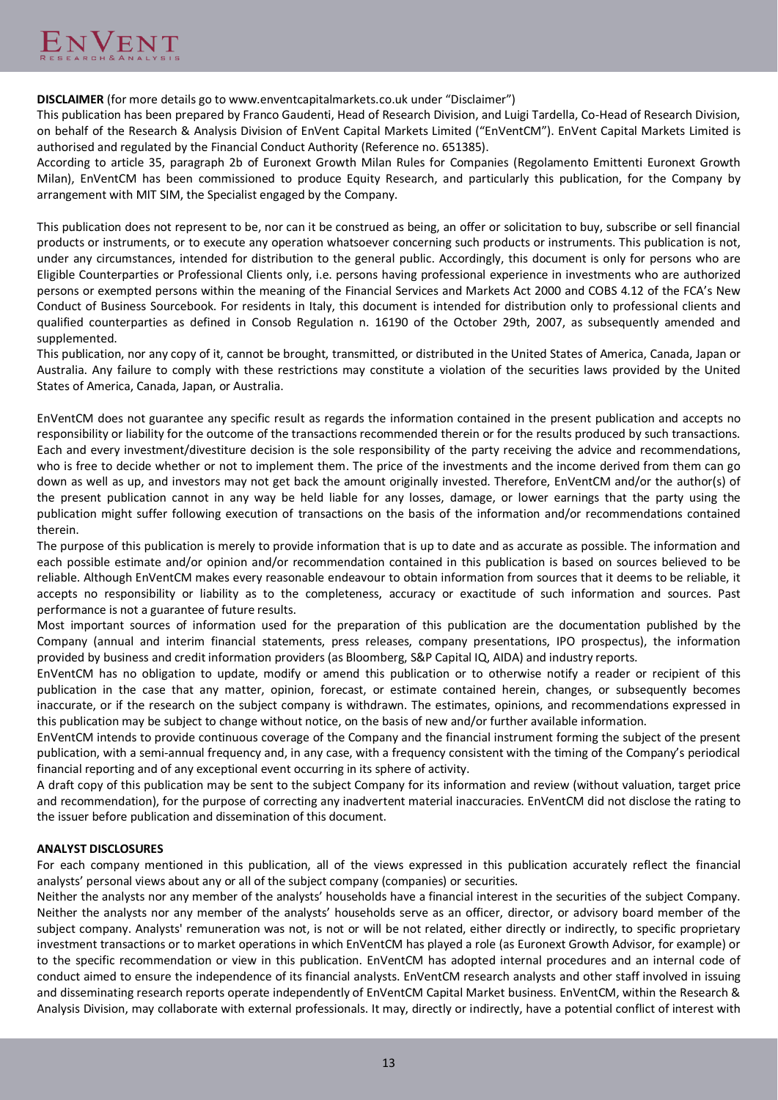**DISCLAIMER** (for more details go to www.enventcapitalmarkets.co.uk under "Disclaimer")

This publication has been prepared by Franco Gaudenti, Head of Research Division, and Luigi Tardella, Co-Head of Research Division, on behalf of the Research & Analysis Division of EnVent Capital Markets Limited ("EnVentCM"). EnVent Capital Markets Limited is authorised and regulated by the Financial Conduct Authority (Reference no. 651385).

According to article 35, paragraph 2b of Euronext Growth Milan Rules for Companies (Regolamento Emittenti Euronext Growth Milan), EnVentCM has been commissioned to produce Equity Research, and particularly this publication, for the Company by arrangement with MIT SIM, the Specialist engaged by the Company.

This publication does not represent to be, nor can it be construed as being, an offer or solicitation to buy, subscribe or sell financial products or instruments, or to execute any operation whatsoever concerning such products or instruments. This publication is not, under any circumstances, intended for distribution to the general public. Accordingly, this document is only for persons who are Eligible Counterparties or Professional Clients only, i.e. persons having professional experience in investments who are authorized persons or exempted persons within the meaning of the Financial Services and Markets Act 2000 and COBS 4.12 of the FCA's New Conduct of Business Sourcebook. For residents in Italy, this document is intended for distribution only to professional clients and qualified counterparties as defined in Consob Regulation n. 16190 of the October 29th, 2007, as subsequently amended and supplemented.

This publication, nor any copy of it, cannot be brought, transmitted, or distributed in the United States of America, Canada, Japan or Australia. Any failure to comply with these restrictions may constitute a violation of the securities laws provided by the United States of America, Canada, Japan, or Australia.

EnVentCM does not guarantee any specific result as regards the information contained in the present publication and accepts no responsibility or liability for the outcome of the transactions recommended therein or for the results produced by such transactions. Each and every investment/divestiture decision is the sole responsibility of the party receiving the advice and recommendations, who is free to decide whether or not to implement them. The price of the investments and the income derived from them can go down as well as up, and investors may not get back the amount originally invested. Therefore, EnVentCM and/or the author(s) of the present publication cannot in any way be held liable for any losses, damage, or lower earnings that the party using the publication might suffer following execution of transactions on the basis of the information and/or recommendations contained therein.

The purpose of this publication is merely to provide information that is up to date and as accurate as possible. The information and each possible estimate and/or opinion and/or recommendation contained in this publication is based on sources believed to be reliable. Although EnVentCM makes every reasonable endeavour to obtain information from sources that it deems to be reliable, it accepts no responsibility or liability as to the completeness, accuracy or exactitude of such information and sources. Past performance is not a guarantee of future results.

Most important sources of information used for the preparation of this publication are the documentation published by the Company (annual and interim financial statements, press releases, company presentations, IPO prospectus), the information provided by business and credit information providers (as Bloomberg, S&P Capital IQ, AIDA) and industry reports.

EnVentCM has no obligation to update, modify or amend this publication or to otherwise notify a reader or recipient of this publication in the case that any matter, opinion, forecast, or estimate contained herein, changes, or subsequently becomes inaccurate, or if the research on the subject company is withdrawn. The estimates, opinions, and recommendations expressed in this publication may be subject to change without notice, on the basis of new and/or further available information.

EnVentCM intends to provide continuous coverage of the Company and the financial instrument forming the subject of the present publication, with a semi-annual frequency and, in any case, with a frequency consistent with the timing of the Company's periodical financial reporting and of any exceptional event occurring in its sphere of activity.

A draft copy of this publication may be sent to the subject Company for its information and review (without valuation, target price and recommendation), for the purpose of correcting any inadvertent material inaccuracies. EnVentCM did not disclose the rating to the issuer before publication and dissemination of this document.

# **ANALYST DISCLOSURES**

For each company mentioned in this publication, all of the views expressed in this publication accurately reflect the financial analysts' personal views about any or all of the subject company (companies) or securities.

Neither the analysts nor any member of the analysts' households have a financial interest in the securities of the subject Company. Neither the analysts nor any member of the analysts' households serve as an officer, director, or advisory board member of the subject company. Analysts' remuneration was not, is not or will be not related, either directly or indirectly, to specific proprietary investment transactions or to market operations in which EnVentCM has played a role (as Euronext Growth Advisor, for example) or to the specific recommendation or view in this publication. EnVentCM has adopted internal procedures and an internal code of conduct aimed to ensure the independence of its financial analysts. EnVentCM research analysts and other staff involved in issuing and disseminating research reports operate independently of EnVentCM Capital Market business. EnVentCM, within the Research & Analysis Division, may collaborate with external professionals. It may, directly or indirectly, have a potential conflict of interest with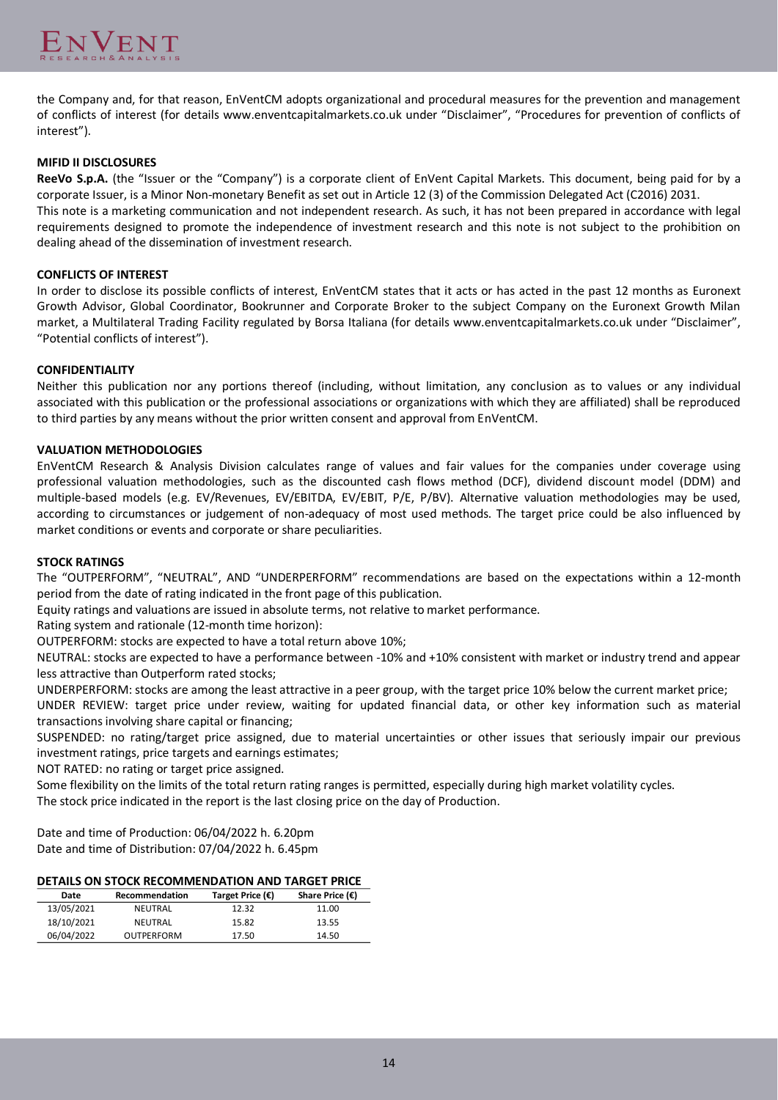

the Company and, for that reason, EnVentCM adopts organizational and procedural measures for the prevention and management of conflicts of interest (for details www.enventcapitalmarkets.co.uk under "Disclaimer", "Procedures for prevention of conflicts of interest").

## **MIFID II DISCLOSURES**

**ReeVo S.p.A.** (the "Issuer or the "Company") is a corporate client of EnVent Capital Markets. This document, being paid for by a corporate Issuer, is a Minor Non-monetary Benefit as set out in Article 12 (3) of the Commission Delegated Act (C2016) 2031. This note is a marketing communication and not independent research. As such, it has not been prepared in accordance with legal

requirements designed to promote the independence of investment research and this note is not subject to the prohibition on dealing ahead of the dissemination of investment research.

## **CONFLICTS OF INTEREST**

In order to disclose its possible conflicts of interest, EnVentCM states that it acts or has acted in the past 12 months as Euronext Growth Advisor, Global Coordinator, Bookrunner and Corporate Broker to the subject Company on the Euronext Growth Milan market, a Multilateral Trading Facility regulated by Borsa Italiana (for details www.enventcapitalmarkets.co.uk under "Disclaimer", "Potential conflicts of interest").

## **CONFIDENTIALITY**

Neither this publication nor any portions thereof (including, without limitation, any conclusion as to values or any individual associated with this publication or the professional associations or organizations with which they are affiliated) shall be reproduced to third parties by any means without the prior written consent and approval from EnVentCM.

## **VALUATION METHODOLOGIES**

EnVentCM Research & Analysis Division calculates range of values and fair values for the companies under coverage using professional valuation methodologies, such as the discounted cash flows method (DCF), dividend discount model (DDM) and multiple-based models (e.g. EV/Revenues, EV/EBITDA, EV/EBIT, P/E, P/BV). Alternative valuation methodologies may be used, according to circumstances or judgement of non-adequacy of most used methods. The target price could be also influenced by market conditions or events and corporate or share peculiarities.

## **STOCK RATINGS**

The "OUTPERFORM", "NEUTRAL", AND "UNDERPERFORM" recommendations are based on the expectations within a 12-month period from the date of rating indicated in the front page of this publication.

Equity ratings and valuations are issued in absolute terms, not relative to market performance.

Rating system and rationale (12-month time horizon):

OUTPERFORM: stocks are expected to have a total return above 10%;

NEUTRAL: stocks are expected to have a performance between -10% and +10% consistent with market or industry trend and appear less attractive than Outperform rated stocks;

UNDERPERFORM: stocks are among the least attractive in a peer group, with the target price 10% below the current market price; UNDER REVIEW: target price under review, waiting for updated financial data, or other key information such as material

transactions involving share capital or financing;

SUSPENDED: no rating/target price assigned, due to material uncertainties or other issues that seriously impair our previous investment ratings, price targets and earnings estimates;

NOT RATED: no rating or target price assigned.

Some flexibility on the limits of the total return rating ranges is permitted, especially during high market volatility cycles. The stock price indicated in the report is the last closing price on the day of Production.

Date and time of Production: 06/04/2022 h. 6.20pm Date and time of Distribution: 07/04/2022 h. 6.45pm

# **DETAILS ON STOCK RECOMMENDATION AND TARGET PRICE**

| Date       | Recommendation    | Target Price $(\epsilon)$ | Share Price $(\epsilon)$ |
|------------|-------------------|---------------------------|--------------------------|
| 13/05/2021 | NEUTRAL           | 12.32                     | 11.00                    |
| 18/10/2021 | NEUTRAL           | 15.82                     | 13.55                    |
| 06/04/2022 | <b>OUTPERFORM</b> | 17.50                     | 14.50                    |